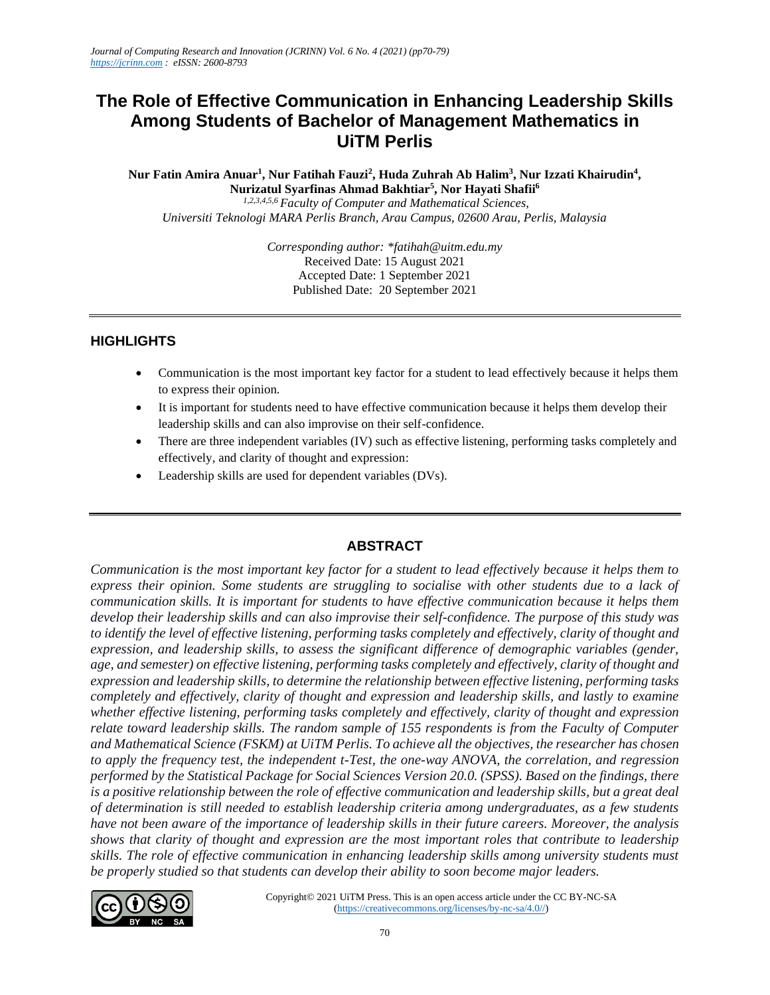# **The Role of Effective Communication in Enhancing Leadership Skills Among Students of Bachelor of Management Mathematics in UiTM Perlis**

**Nur Fatin Amira Anuar<sup>1</sup> , Nur Fatihah Fauzi<sup>2</sup> , Huda Zuhrah Ab Halim<sup>3</sup> , Nur Izzati Khairudin<sup>4</sup> , Nurizatul Syarfinas Ahmad Bakhtiar<sup>5</sup> , Nor Hayati Shafii<sup>6</sup>** *1,2,3,4,5,6 Faculty of Computer and Mathematical Sciences, Universiti Teknologi MARA Perlis Branch, Arau Campus, 02600 Arau, Perlis, Malaysia*

> *Corresponding author: \*fatihah@uitm.edu.my* Received Date: 15 August 2021 Accepted Date: 1 September 2021 Published Date: 20 September 2021

#### **HIGHLIGHTS**

- Communication is the most important key factor for a student to lead effectively because it helps them to express their opinion.
- It is important for students need to have effective communication because it helps them develop their leadership skills and can also improvise on their self-confidence.
- There are three independent variables (IV) such as effective listening, performing tasks completely and effectively, and clarity of thought and expression:
- Leadership skills are used for dependent variables (DVs).

### **ABSTRACT**

*Communication is the most important key factor for a student to lead effectively because it helps them to express their opinion. Some students are struggling to socialise with other students due to a lack of communication skills. It is important for students to have effective communication because it helps them develop their leadership skills and can also improvise their self-confidence. The purpose of this study was to identify the level of effective listening, performing tasks completely and effectively, clarity of thought and expression, and leadership skills, to assess the significant difference of demographic variables (gender, age, and semester) on effective listening, performing tasks completely and effectively, clarity of thought and expression and leadership skills, to determine the relationship between effective listening, performing tasks completely and effectively, clarity of thought and expression and leadership skills, and lastly to examine whether effective listening, performing tasks completely and effectively, clarity of thought and expression relate toward leadership skills. The random sample of 155 respondents is from the Faculty of Computer and Mathematical Science (FSKM) at UiTM Perlis. To achieve all the objectives, the researcher has chosen to apply the frequency test, the independent t-Test, the one-way ANOVA, the correlation, and regression performed by the Statistical Package for Social Sciences Version 20.0. (SPSS). Based on the findings, there is a positive relationship between the role of effective communication and leadership skills, but a great deal of determination is still needed to establish leadership criteria among undergraduates, as a few students have not been aware of the importance of leadership skills in their future careers. Moreover, the analysis shows that clarity of thought and expression are the most important roles that contribute to leadership skills. The role of effective communication in enhancing leadership skills among university students must be properly studied so that students can develop their ability to soon become major leaders.*

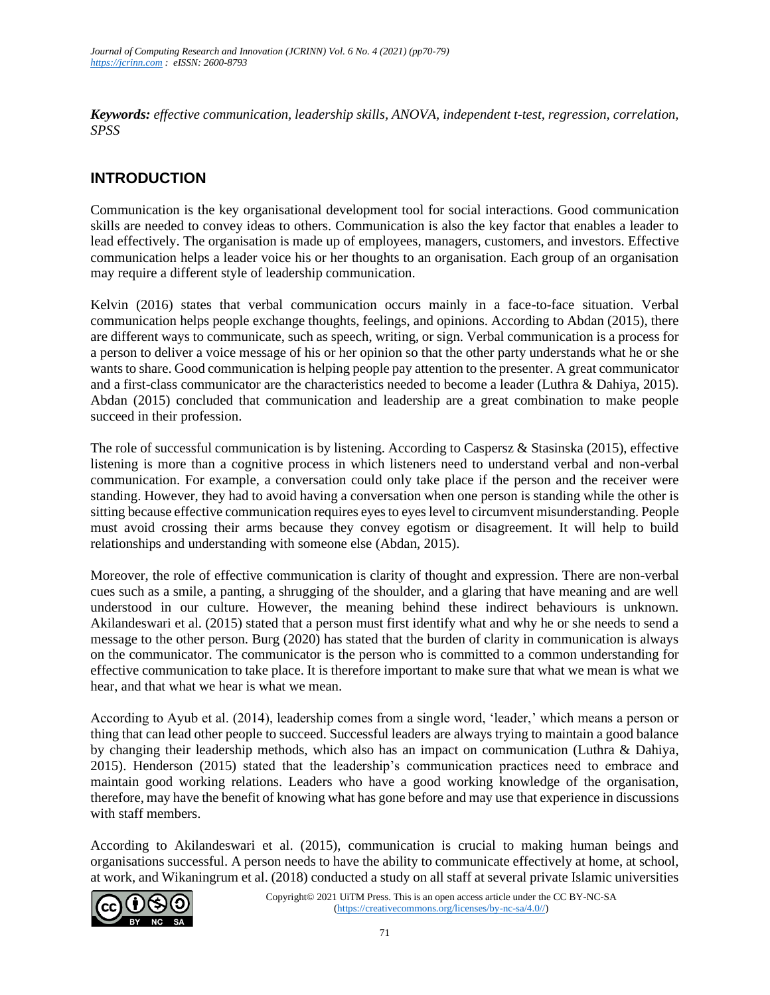*Keywords: effective communication, leadership skills, ANOVA, independent t-test, regression, correlation, SPSS*

## **INTRODUCTION**

Communication is the key organisational development tool for social interactions. Good communication skills are needed to convey ideas to others. Communication is also the key factor that enables a leader to lead effectively. The organisation is made up of employees, managers, customers, and investors. Effective communication helps a leader voice his or her thoughts to an organisation. Each group of an organisation may require a different style of leadership communication.

Kelvin (2016) states that verbal communication occurs mainly in a face-to-face situation. Verbal communication helps people exchange thoughts, feelings, and opinions. According to Abdan (2015), there are different ways to communicate, such as speech, writing, or sign. Verbal communication is a process for a person to deliver a voice message of his or her opinion so that the other party understands what he or she wants to share. Good communication is helping people pay attention to the presenter. A great communicator and a first-class communicator are the characteristics needed to become a leader (Luthra & Dahiya, 2015). Abdan (2015) concluded that communication and leadership are a great combination to make people succeed in their profession.

The role of successful communication is by listening. According to Caspersz & Stasinska (2015), effective listening is more than a cognitive process in which listeners need to understand verbal and non-verbal communication. For example, a conversation could only take place if the person and the receiver were standing. However, they had to avoid having a conversation when one person is standing while the other is sitting because effective communication requires eyes to eyes level to circumvent misunderstanding. People must avoid crossing their arms because they convey egotism or disagreement. It will help to build relationships and understanding with someone else (Abdan, 2015).

Moreover, the role of effective communication is clarity of thought and expression. There are non-verbal cues such as a smile, a panting, a shrugging of the shoulder, and a glaring that have meaning and are well understood in our culture. However, the meaning behind these indirect behaviours is unknown. Akilandeswari et al. (2015) stated that a person must first identify what and why he or she needs to send a message to the other person. Burg (2020) has stated that the burden of clarity in communication is always on the communicator. The communicator is the person who is committed to a common understanding for effective communication to take place. It is therefore important to make sure that what we mean is what we hear, and that what we hear is what we mean.

According to Ayub et al. (2014), leadership comes from a single word, 'leader,' which means a person or thing that can lead other people to succeed. Successful leaders are always trying to maintain a good balance by changing their leadership methods, which also has an impact on communication (Luthra & Dahiya, 2015). Henderson (2015) stated that the leadership's communication practices need to embrace and maintain good working relations. Leaders who have a good working knowledge of the organisation, therefore, may have the benefit of knowing what has gone before and may use that experience in discussions with staff members.

According to Akilandeswari et al. (2015), communication is crucial to making human beings and organisations successful. A person needs to have the ability to communicate effectively at home, at school, at work, and Wikaningrum et al. (2018) conducted a study on all staff at several private Islamic universities

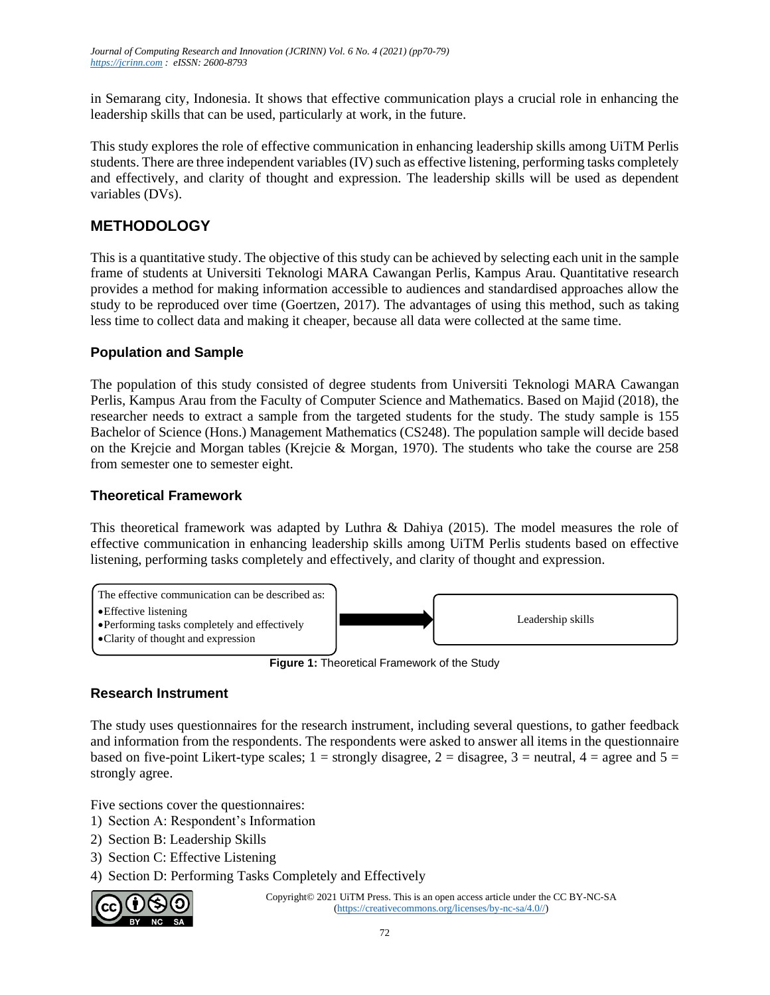in Semarang city, Indonesia. It shows that effective communication plays a crucial role in enhancing the leadership skills that can be used, particularly at work, in the future.

This study explores the role of effective communication in enhancing leadership skills among UiTM Perlis students. There are three independent variables (IV) such as effective listening, performing tasks completely and effectively, and clarity of thought and expression. The leadership skills will be used as dependent variables (DVs).

## **METHODOLOGY**

This is a quantitative study. The objective of this study can be achieved by selecting each unit in the sample frame of students at Universiti Teknologi MARA Cawangan Perlis, Kampus Arau. Quantitative research provides a method for making information accessible to audiences and standardised approaches allow the study to be reproduced over time (Goertzen, 2017). The advantages of using this method, such as taking less time to collect data and making it cheaper, because all data were collected at the same time.

#### **Population and Sample**

The population of this study consisted of degree students from Universiti Teknologi MARA Cawangan Perlis, Kampus Arau from the Faculty of Computer Science and Mathematics. Based on Majid (2018), the researcher needs to extract a sample from the targeted students for the study. The study sample is 155 Bachelor of Science (Hons.) Management Mathematics (CS248). The population sample will decide based on the Krejcie and Morgan tables (Krejcie & Morgan, 1970). The students who take the course are 258 from semester one to semester eight.

#### **Theoretical Framework**

This theoretical framework was adapted by Luthra & Dahiya (2015). The model measures the role of effective communication in enhancing leadership skills among UiTM Perlis students based on effective listening, performing tasks completely and effectively, and clarity of thought and expression.



**Figure 1:** Theoretical Framework of the Study

### **Research Instrument**

The study uses questionnaires for the research instrument, including several questions, to gather feedback and information from the respondents. The respondents were asked to answer all items in the questionnaire based on five-point Likert-type scales;  $1 =$  strongly disagree,  $2 =$  disagree,  $3 =$  neutral,  $4 =$  agree and  $5 =$ strongly agree.

Five sections cover the questionnaires:

- 1) Section A: Respondent's Information
- 2) Section B: Leadership Skills
- 3) Section C: Effective Listening
- 4) Section D: Performing Tasks Completely and Effectively

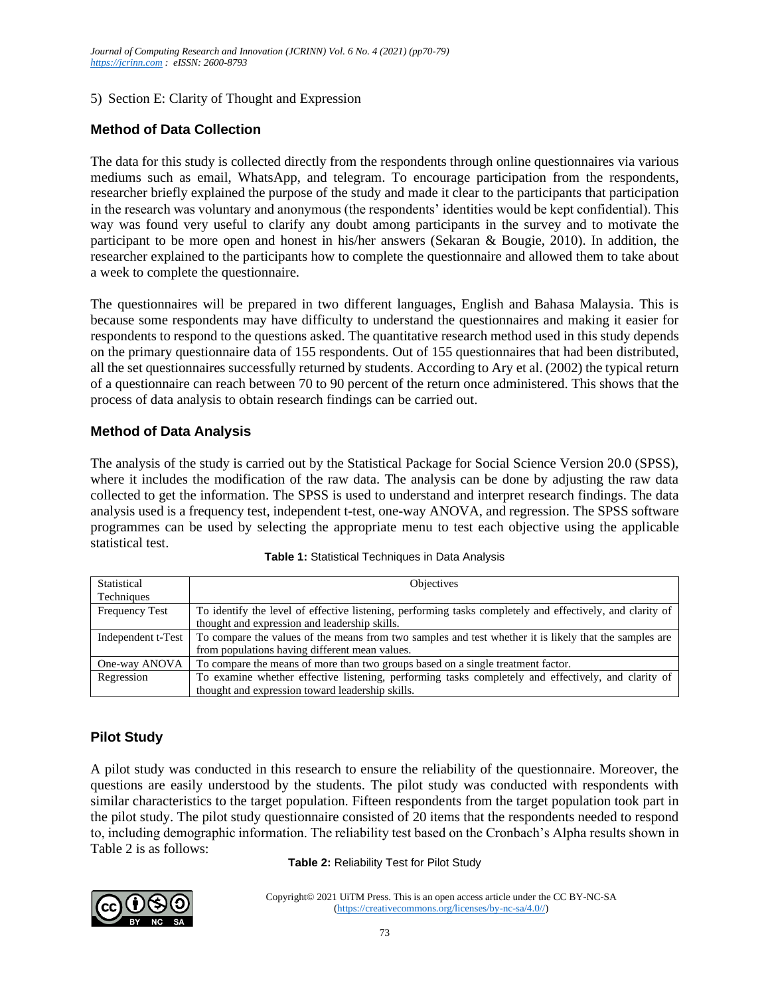#### 5) Section E: Clarity of Thought and Expression

### **Method of Data Collection**

The data for this study is collected directly from the respondents through online questionnaires via various mediums such as email, WhatsApp, and telegram. To encourage participation from the respondents, researcher briefly explained the purpose of the study and made it clear to the participants that participation in the research was voluntary and anonymous (the respondents' identities would be kept confidential). This way was found very useful to clarify any doubt among participants in the survey and to motivate the participant to be more open and honest in his/her answers (Sekaran & Bougie, 2010). In addition, the researcher explained to the participants how to complete the questionnaire and allowed them to take about a week to complete the questionnaire.

The questionnaires will be prepared in two different languages, English and Bahasa Malaysia. This is because some respondents may have difficulty to understand the questionnaires and making it easier for respondents to respond to the questions asked. The quantitative research method used in this study depends on the primary questionnaire data of 155 respondents. Out of 155 questionnaires that had been distributed, all the set questionnaires successfully returned by students. According to Ary et al. (2002) the typical return of a questionnaire can reach between 70 to 90 percent of the return once administered. This shows that the process of data analysis to obtain research findings can be carried out.

#### **Method of Data Analysis**

The analysis of the study is carried out by the Statistical Package for Social Science Version 20.0 (SPSS), where it includes the modification of the raw data. The analysis can be done by adjusting the raw data collected to get the information. The SPSS is used to understand and interpret research findings. The data analysis used is a frequency test, independent t-test, one-way ANOVA, and regression. The SPSS software programmes can be used by selecting the appropriate menu to test each objective using the applicable statistical test.

| Statistical           | <b>Objectives</b>                                                                                         |
|-----------------------|-----------------------------------------------------------------------------------------------------------|
| Techniques            |                                                                                                           |
| <b>Frequency Test</b> | To identify the level of effective listening, performing tasks completely and effectively, and clarity of |
|                       | thought and expression and leadership skills.                                                             |
| Independent t-Test    | To compare the values of the means from two samples and test whether it is likely that the samples are    |
|                       | from populations having different mean values.                                                            |
| One-way ANOVA         | To compare the means of more than two groups based on a single treatment factor.                          |
| Regression            | To examine whether effective listening, performing tasks completely and effectively, and clarity of       |
|                       | thought and expression toward leadership skills.                                                          |

**Table 1:** Statistical Techniques in Data Analysis

### **Pilot Study**

A pilot study was conducted in this research to ensure the reliability of the questionnaire. Moreover, the questions are easily understood by the students. The pilot study was conducted with respondents with similar characteristics to the target population. Fifteen respondents from the target population took part in the pilot study. The pilot study questionnaire consisted of 20 items that the respondents needed to respond to, including demographic information. The reliability test based on the Cronbach's Alpha results shown in Table 2 is as follows:

**Table 2:** Reliability Test for Pilot Study

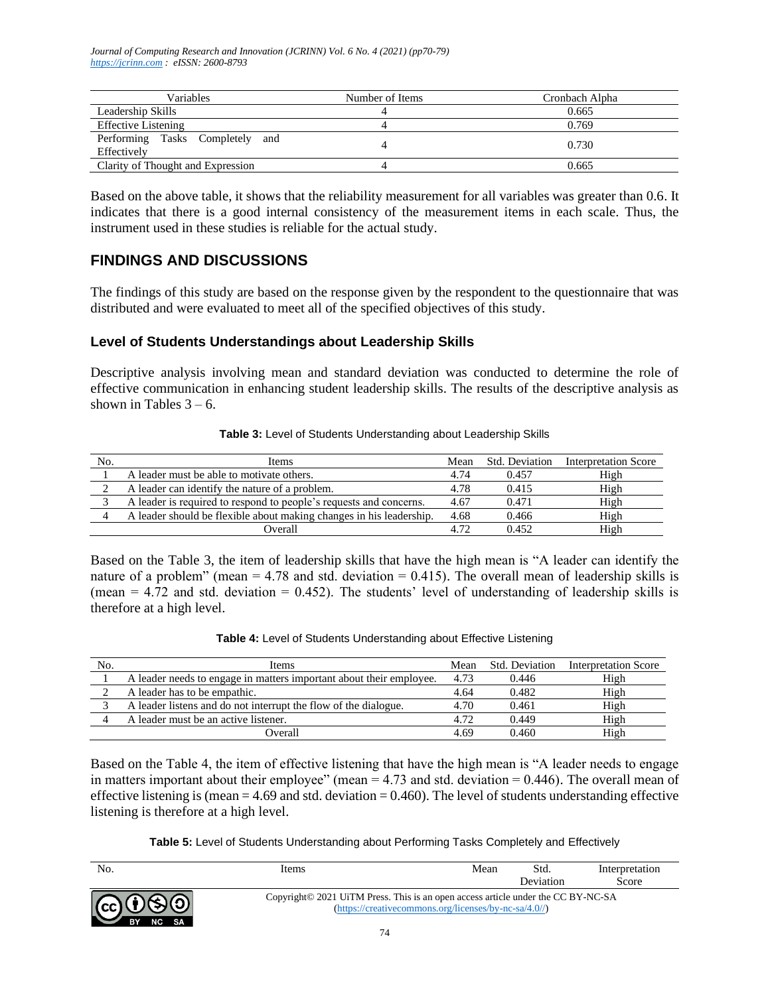*Journal of Computing Research and Innovation (JCRINN) Vol. 6 No. 4 (2021) (pp70-79) [https://jcrinn.com](https://jcrinn.com/) : eISSN: 2600-8793*

| Variables                                         | Number of Items | Cronbach Alpha |
|---------------------------------------------------|-----------------|----------------|
| Leadership Skills                                 |                 | 0.665          |
| <b>Effective Listening</b>                        |                 | 0.769          |
| Performing Tasks Completely<br>and<br>Effectively |                 | 0.730          |
| Clarity of Thought and Expression                 |                 | 0.665          |

Based on the above table, it shows that the reliability measurement for all variables was greater than 0.6. It indicates that there is a good internal consistency of the measurement items in each scale. Thus, the instrument used in these studies is reliable for the actual study.

### **FINDINGS AND DISCUSSIONS**

The findings of this study are based on the response given by the respondent to the questionnaire that was distributed and were evaluated to meet all of the specified objectives of this study.

#### **Level of Students Understandings about Leadership Skills**

Descriptive analysis involving mean and standard deviation was conducted to determine the role of effective communication in enhancing student leadership skills. The results of the descriptive analysis as shown in Tables  $3 - 6$ .

| Table 3: Level of Students Understanding about Leadership Skills |  |
|------------------------------------------------------------------|--|
|------------------------------------------------------------------|--|

| No. | <b>Items</b>                                                        | Mean | Std. Deviation | <b>Interpretation Score</b> |
|-----|---------------------------------------------------------------------|------|----------------|-----------------------------|
|     | A leader must be able to motivate others.                           | 4.74 | 0.457          | High                        |
|     | A leader can identify the nature of a problem.                      | 4.78 | 0.415          | High                        |
|     | A leader is required to respond to people's requests and concerns.  | 4.67 | 0.471          | High                        |
|     | A leader should be flexible about making changes in his leadership. | 4.68 | 0.466          | High                        |
|     | Overall                                                             | 4.72 | 0.452          | High                        |

Based on the Table 3, the item of leadership skills that have the high mean is "A leader can identify the nature of a problem" (mean  $= 4.78$  and std. deviation  $= 0.415$ ). The overall mean of leadership skills is (mean  $= 4.72$  and std. deviation  $= 0.452$ ). The students' level of understanding of leadership skills is therefore at a high level.

| No. | Items                                                               | Mean | Std. Deviation | <b>Interpretation Score</b> |
|-----|---------------------------------------------------------------------|------|----------------|-----------------------------|
|     | A leader needs to engage in matters important about their employee. | 4.73 | 0.446          | High                        |
|     | A leader has to be empathic.                                        | 4.64 | 0.482          | High                        |
|     | A leader listens and do not interrupt the flow of the dialogue.     | 4.70 | 0.461          | High                        |
|     | A leader must be an active listener.                                | 4.72 | 0.449          | High                        |
|     | Overall                                                             | 4.69 | 0.460          | High                        |

Based on the Table 4, the item of effective listening that have the high mean is "A leader needs to engage in matters important about their employee" (mean  $= 4.73$  and std. deviation  $= 0.446$ ). The overall mean of effective listening is (mean  $= 4.69$  and std. deviation  $= 0.460$ ). The level of students understanding effective listening is therefore at a high level.

**Table 5:** Level of Students Understanding about Performing Tasks Completely and Effectively

| No.                                  | Items                                                                            | Mean                                                                              | Std.      | Interpretation |
|--------------------------------------|----------------------------------------------------------------------------------|-----------------------------------------------------------------------------------|-----------|----------------|
|                                      |                                                                                  |                                                                                   | Deviation | Score          |
| $G$ $0$ $\Theta$ $0$<br>NC SA<br>BY. | Copyright© 2021 UiTM Press. This is an open access article under the CC BY-NC-SA | $(\text{https://creativecommons.org/licenses/by-nc-sa/4.0/">\prime\prime\prime})$ |           |                |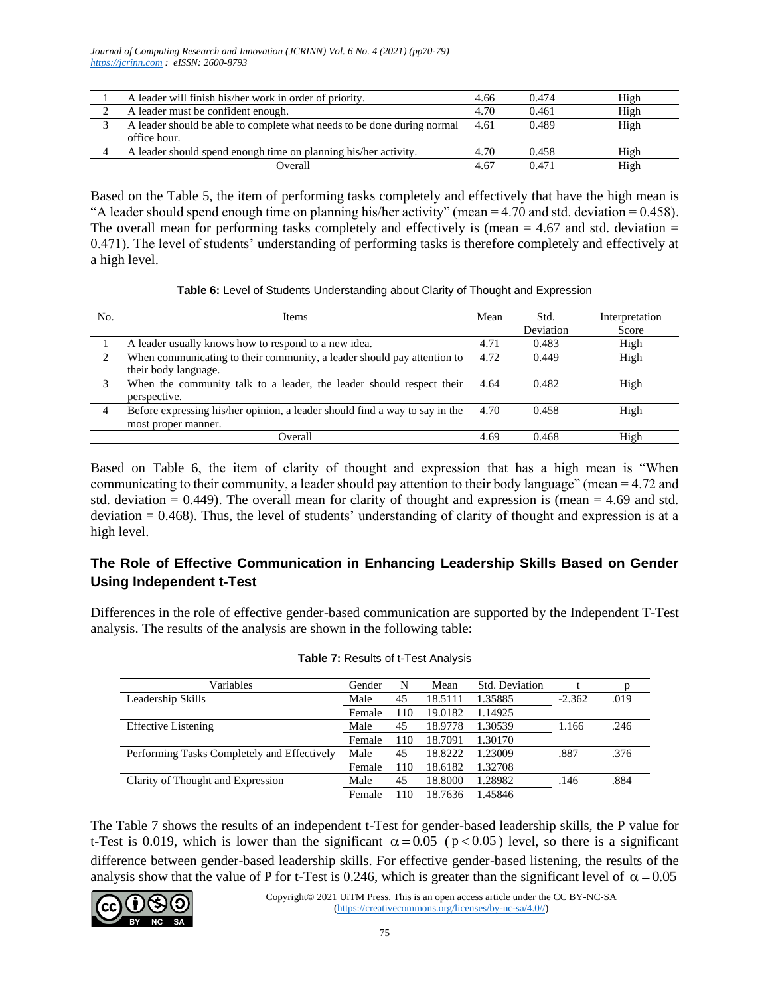*Journal of Computing Research and Innovation (JCRINN) Vol. 6 No. 4 (2021) (pp70-79) [https://jcrinn.com](https://jcrinn.com/) : eISSN: 2600-8793*

| A leader will finish his/her work in order of priority.                 | 4.66 | 0.474 | High |
|-------------------------------------------------------------------------|------|-------|------|
| A leader must be confident enough.                                      | 4.70 | 0.461 | High |
| A leader should be able to complete what needs to be done during normal | 4.61 | 0.489 | High |
| office hour.                                                            |      |       |      |
| A leader should spend enough time on planning his/her activity.         | 4.70 | 0.458 | High |
| Overall                                                                 | 4.67 | 0.471 | High |

Based on the Table 5, the item of performing tasks completely and effectively that have the high mean is "A leader should spend enough time on planning his/her activity" (mean  $= 4.70$  and std. deviation  $= 0.458$ ). The overall mean for performing tasks completely and effectively is (mean  $= 4.67$  and std. deviation  $=$ 0.471). The level of students' understanding of performing tasks is therefore completely and effectively at a high level.

**Table 6:** Level of Students Understanding about Clarity of Thought and Expression

| No. | Items                                                                                              | Mean | Std.<br>Deviation | Interpretation<br>Score |
|-----|----------------------------------------------------------------------------------------------------|------|-------------------|-------------------------|
|     | A leader usually knows how to respond to a new idea.                                               | 4.71 | 0.483             | High                    |
| ∍   | When communicating to their community, a leader should pay attention to<br>their body language.    | 4.72 | 0.449             | High                    |
|     | When the community talk to a leader, the leader should respect their<br>perspective.               | 4.64 | 0.482             | High                    |
| 4   | Before expressing his/her opinion, a leader should find a way to say in the<br>most proper manner. | 4.70 | 0.458             | High                    |
|     | Overall                                                                                            | 4.69 | 0.468             | High                    |

Based on Table 6, the item of clarity of thought and expression that has a high mean is "When communicating to their community, a leader should pay attention to their body language" (mean = 4.72 and std. deviation  $= 0.449$ ). The overall mean for clarity of thought and expression is (mean  $= 4.69$  and std. deviation = 0.468). Thus, the level of students' understanding of clarity of thought and expression is at a high level.

### **The Role of Effective Communication in Enhancing Leadership Skills Based on Gender Using Independent t-Test**

Differences in the role of effective gender-based communication are supported by the Independent T-Test analysis. The results of the analysis are shown in the following table:

| Variables                                   | Gender | N   | Mean    | Std. Deviation |          |      |
|---------------------------------------------|--------|-----|---------|----------------|----------|------|
| Leadership Skills                           | Male   | 45  | 18.5111 | 1.35885        | $-2.362$ | .019 |
|                                             | Female | 110 | 19.0182 | 1.14925        |          |      |
| <b>Effective Listening</b>                  | Male   | 45  | 18.9778 | 1.30539        | 1.166    | .246 |
|                                             | Female | 110 | 18.7091 | 1.30170        |          |      |
| Performing Tasks Completely and Effectively | Male   | 45  | 18.8222 | 1.23009        | .887     | .376 |
|                                             | Female | 110 | 18.6182 | 1.32708        |          |      |
| Clarity of Thought and Expression           | Male   | 45  | 18.8000 | 1.28982        | .146     | .884 |
|                                             | Female | 110 | 18.7636 | .45846         |          |      |

| Table 7: Results of t-Test Analysis |
|-------------------------------------|
|-------------------------------------|

The Table 7 shows the results of an independent t-Test for gender-based leadership skills, the P value for t-Test is 0.019, which is lower than the significant  $\alpha = 0.05$  ( $p < 0.05$ ) level, so there is a significant difference between gender-based leadership skills. For effective gender-based listening, the results of the analysis show that the value of P for t-Test is 0.246, which is greater than the significant level of  $\alpha = 0.05$ 

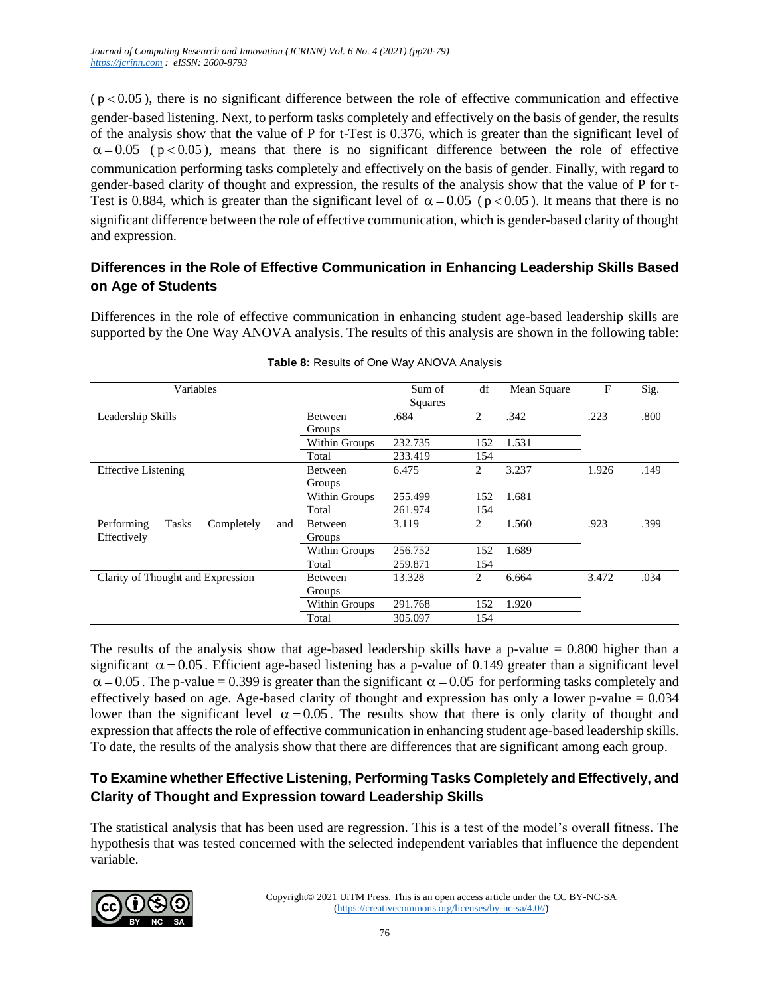$(p<0.05)$ , there is no significant difference between the role of effective communication and effective gender-based listening. Next, to perform tasks completely and effectively on the basis of gender, the results of the analysis show that the value of P for t-Test is 0.376, which is greater than the significant level of  $\alpha$  = 0.05 (p < 0.05), means that there is no significant difference between the role of effective communication performing tasks completely and effectively on the basis of gender. Finally, with regard to gender-based clarity of thought and expression, the results of the analysis show that the value of P for t-Test is 0.884, which is greater than the significant level of  $\alpha = 0.05$  ( $p < 0.05$ ). It means that there is no significant difference between the role of effective communication, which is gender-based clarity of thought and expression.

#### **Differences in the Role of Effective Communication in Enhancing Leadership Skills Based on Age of Students**

Differences in the role of effective communication in enhancing student age-based leadership skills are supported by the One Way ANOVA analysis. The results of this analysis are shown in the following table:

| Variables                                       |                | Sum of<br>Squares | df  | Mean Square | F     | Sig. |
|-------------------------------------------------|----------------|-------------------|-----|-------------|-------|------|
| Leadership Skills                               | Between        | .684              | 2   | .342        | .223  | .800 |
|                                                 | Groups         |                   |     |             |       |      |
|                                                 | Within Groups  | 232.735           | 152 | 1.531       |       |      |
|                                                 | Total          | 233.419           | 154 |             |       |      |
| <b>Effective Listening</b>                      | <b>Between</b> | 6.475             | 2   | 3.237       | 1.926 | .149 |
|                                                 | Groups         |                   |     |             |       |      |
|                                                 | Within Groups  | 255.499           | 152 | 1.681       |       |      |
|                                                 | Total          | 261.974           | 154 |             |       |      |
| <b>Tasks</b><br>Performing<br>Completely<br>and | Between        | 3.119             | 2   | 1.560       | .923  | .399 |
| Effectively                                     | Groups         |                   |     |             |       |      |
|                                                 | Within Groups  | 256.752           | 152 | 1.689       |       |      |
|                                                 | Total          | 259.871           | 154 |             |       |      |
| Clarity of Thought and Expression               | <b>Between</b> | 13.328            | 2   | 6.664       | 3.472 | .034 |
|                                                 | Groups         |                   |     |             |       |      |
|                                                 | Within Groups  | 291.768           | 152 | 1.920       |       |      |
|                                                 | Total          | 305.097           | 154 |             |       |      |

**Table 8:** Results of One Way ANOVA Analysis

The results of the analysis show that age-based leadership skills have a p-value  $= 0.800$  higher than a significant  $\alpha = 0.05$ . Efficient age-based listening has a p-value of 0.149 greater than a significant level  $\alpha$  = 0.05. The p-value = 0.399 is greater than the significant  $\alpha$  = 0.05 for performing tasks completely and effectively based on age. Age-based clarity of thought and expression has only a lower p-value  $= 0.034$ lower than the significant level  $\alpha = 0.05$ . The results show that there is only clarity of thought and expression that affects the role of effective communication in enhancing student age-based leadership skills. To date, the results of the analysis show that there are differences that are significant among each group.

## **To Examine whether Effective Listening, Performing Tasks Completely and Effectively, and Clarity of Thought and Expression toward Leadership Skills**

The statistical analysis that has been used are regression. This is a test of the model's overall fitness. The hypothesis that was tested concerned with the selected independent variables that influence the dependent variable.

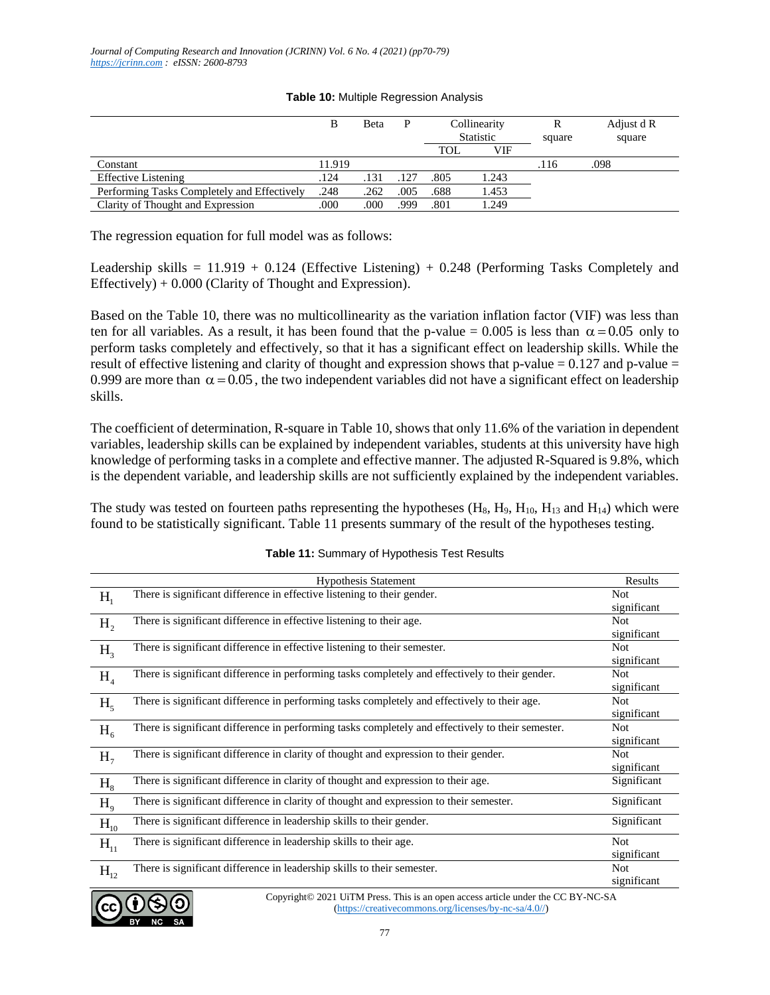|                                             |        | Beta | P    | Collinearity     |       | R      | Adjust d R |
|---------------------------------------------|--------|------|------|------------------|-------|--------|------------|
|                                             |        |      |      | <b>Statistic</b> |       | square | square     |
|                                             |        |      |      | TOL              | VIF   |        |            |
| Constant                                    | 11.919 |      |      |                  |       | .116   | .098       |
| <b>Effective Listening</b>                  | .124   | .131 | .127 | .805             | 1.243 |        |            |
| Performing Tasks Completely and Effectively | .248   | .262 | .005 | .688             | 1.453 |        |            |
| Clarity of Thought and Expression           | .000   | .000 | .999 | .801             | 1.249 |        |            |

#### **Table 10:** Multiple Regression Analysis

The regression equation for full model was as follows:

Leadership skills =  $11.919 + 0.124$  (Effective Listening) + 0.248 (Performing Tasks Completely and Effectively)  $+ 0.000$  (Clarity of Thought and Expression).

Based on the Table 10, there was no multicollinearity as the variation inflation factor (VIF) was less than ten for all variables. As a result, it has been found that the p-value =  $0.005$  is less than  $\alpha = 0.05$  only to perform tasks completely and effectively, so that it has a significant effect on leadership skills. While the result of effective listening and clarity of thought and expression shows that p-value =  $0.127$  and p-value = 0.999 are more than  $\alpha = 0.05$ , the two independent variables did not have a significant effect on leadership skills.

The coefficient of determination, R-square in Table 10, shows that only 11.6% of the variation in dependent variables, leadership skills can be explained by independent variables, students at this university have high knowledge of performing tasks in a complete and effective manner. The adjusted R-Squared is 9.8%, which is the dependent variable, and leadership skills are not sufficiently explained by the independent variables.

The study was tested on fourteen paths representing the hypotheses  $(H_8, H_9, H_{10}, H_{13}$  and  $H_{14}$ ) which were found to be statistically significant. Table 11 presents summary of the result of the hypotheses testing.

|                 | <b>Hypothesis Statement</b>                                                                                            | Results     |
|-----------------|------------------------------------------------------------------------------------------------------------------------|-------------|
| H <sub>1</sub>  | There is significant difference in effective listening to their gender.                                                | <b>Not</b>  |
|                 |                                                                                                                        | significant |
| H <sub>2</sub>  | There is significant difference in effective listening to their age.                                                   | <b>Not</b>  |
|                 |                                                                                                                        | significant |
| H <sub>3</sub>  | There is significant difference in effective listening to their semester.                                              | <b>Not</b>  |
|                 |                                                                                                                        | significant |
| H <sub>4</sub>  | There is significant difference in performing tasks completely and effectively to their gender.                        | <b>Not</b>  |
|                 |                                                                                                                        | significant |
| $H_{\varsigma}$ | There is significant difference in performing tasks completely and effectively to their age.                           | <b>Not</b>  |
|                 |                                                                                                                        | significant |
| $H_6$           | There is significant difference in performing tasks completely and effectively to their semester.                      | <b>Not</b>  |
|                 |                                                                                                                        | significant |
| H <sub>7</sub>  | There is significant difference in clarity of thought and expression to their gender.                                  | <b>Not</b>  |
|                 |                                                                                                                        | significant |
| H <sub>8</sub>  | There is significant difference in clarity of thought and expression to their age.                                     | Significant |
| H <sub>9</sub>  | There is significant difference in clarity of thought and expression to their semester.                                | Significant |
| $H_{10}$        | There is significant difference in leadership skills to their gender.                                                  | Significant |
| $H_{11}$        | There is significant difference in leadership skills to their age.                                                     | <b>Not</b>  |
|                 |                                                                                                                        | significant |
| $H_{12}$        | There is significant difference in leadership skills to their semester.                                                | <b>Not</b>  |
|                 |                                                                                                                        | significant |
|                 | $\mathbf{a} \mathbf{a}$<br>$Convright@ 2021$ UTM $D_{F000}$ . This is an open access erticle under the CC $DV$ $NC 8A$ |             |

**Table 11:** Summary of Hypothesis Test Results

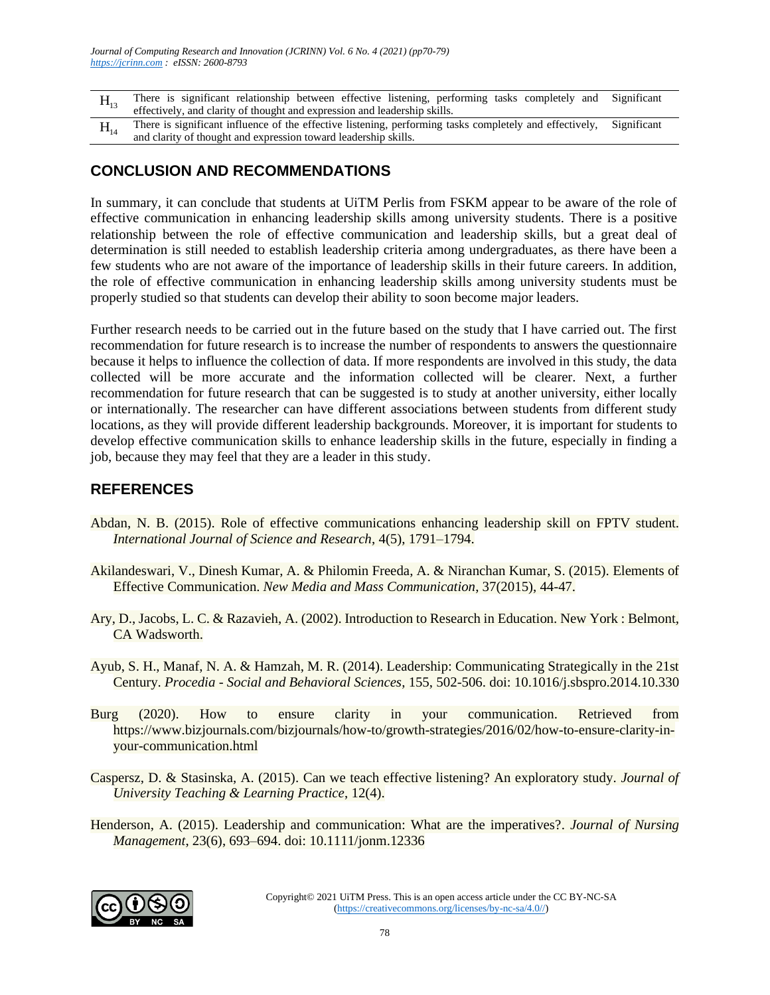- There is significant relationship between effective listening, performing tasks completely and effectively, and clarity of thought and expression and leadership skills. Significant
- $H_{14}$ There is significant influence of the effective listening, performing tasks completely and effectively, and clarity of thought and expression toward leadership skills. Significant

## **CONCLUSION AND RECOMMENDATIONS**

In summary, it can conclude that students at UiTM Perlis from FSKM appear to be aware of the role of effective communication in enhancing leadership skills among university students. There is a positive relationship between the role of effective communication and leadership skills, but a great deal of determination is still needed to establish leadership criteria among undergraduates, as there have been a few students who are not aware of the importance of leadership skills in their future careers. In addition, the role of effective communication in enhancing leadership skills among university students must be properly studied so that students can develop their ability to soon become major leaders.

 $H_{18}$  There is signing<br>and relationship between effective and contractive effectively, and clarity of thought and expression and lead<br> $H_{14}$  There is signing<br>tan threateor of the effective listening.<br>The and clarity of Further research needs to be carried out in the future based on the study that I have carried out. The first recommendation for future research is to increase the number of respondents to answers the questionnaire because it helps to influence the collection of data. If more respondents are involved in this study, the data collected will be more accurate and the information collected will be clearer. Next, a further recommendation for future research that can be suggested is to study at another university, either locally or internationally. The researcher can have different associations between students from different study locations, as they will provide different leadership backgrounds. Moreover, it is important for students to develop effective communication skills to enhance leadership skills in the future, especially in finding a job, because they may feel that they are a leader in this study.

### **REFERENCES**

- Abdan, N. B. (2015). Role of effective communications enhancing leadership skill on FPTV student. *International Journal of Science and Research*, 4(5), 1791–1794.
- Akilandeswari, V., Dinesh Kumar, A. & Philomin Freeda, A. & Niranchan Kumar, S. (2015). Elements of Effective Communication. *New Media and Mass Communication*, 37(2015), 44-47.
- Ary, D., Jacobs, L. C. & Razavieh, A. (2002). Introduction to Research in Education. New York : Belmont, CA Wadsworth.
- Ayub, S. H., Manaf, N. A. & Hamzah, M. R. (2014). Leadership: Communicating Strategically in the 21st Century. *Procedia - Social and Behavioral Sciences*, 155, 502-506. doi: 10.1016/j.sbspro.2014.10.330
- Burg (2020). How to ensure clarity in your communication. Retrieved from https://www.bizjournals.com/bizjournals/how-to/growth-strategies/2016/02/how-to-ensure-clarity-inyour-communication.html
- Caspersz, D. & Stasinska, A. (2015). Can we teach effective listening? An exploratory study. *Journal of University Teaching & Learning Practice*, 12(4).
- Henderson, A. (2015). Leadership and communication: What are the imperatives?. *Journal of Nursing Management*, 23(6), 693–694. doi: 10.1111/jonm.12336